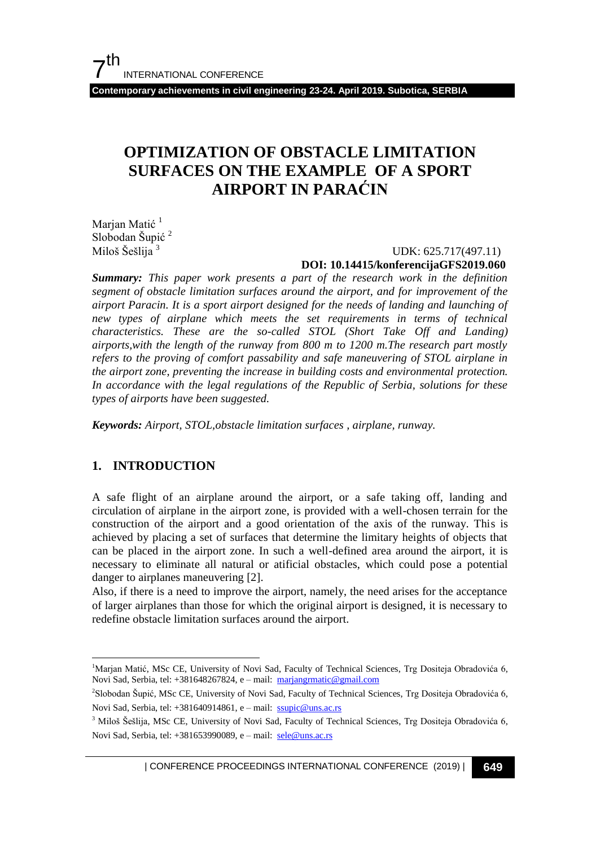**Contemporary achievements in civil engineering 23-24. April 2019. Subotica, SERBIA**

## **OPTIMIZATION OF OBSTACLE LIMITATION SURFACES ON THE EXAMPLE OF A SPORT AIRPORT IN PARAĆIN**

Marjan Matić<sup>1</sup> Slobodan Šupić<sup>2</sup> Miloš Šešlija<sup>3</sup>

 UDK: 625.717(497.11) **DOI: 10.14415/konferencijaGFS2019.060**

*Summary: This paper work presents a part of the research work in the definition segment of obstacle limitation surfaces around the airport, and for improvement of the airport Paracin. It is a sport airport designed for the needs of landing and launching of new types of airplane which meets the set requirements in terms of technical characteristics. These are the so-called STOL (Short Take Off and Landing) airports,with the length of the runway from 800 m to 1200 m.The research part mostly refers to the proving of comfort passability and safe maneuvering of STOL airplane in the airport zone, preventing the increase in building costs and environmental protection. In accordance with the legal regulations of the Republic of Serbia, solutions for these types of airports have been suggested.*

*Keywords: Airport, STOL,obstacle limitation surfaces , airplane, runway.*

## **1. INTRODUCTION**

 $\overline{a}$ 

A safe flight of an airplane around the airport, or a safe taking off, landing and circulation of airplane in the airport zone, is provided with a well-chosen terrain for the construction of the airport and a good orientation of the axis of the runway. This is achieved by placing a set of surfaces that determine the limitary heights of objects that can be placed in the airport zone. In such a well-defined area around the airport, it is necessary to eliminate all natural or atificial obstacles, which could pose a potential danger to airplanes maneuvering [2].

Also, if there is a need to improve the airport, namely, the need arises for the acceptance of larger airplanes than those for which the original airport is designed, it is necessary to redefine obstacle limitation surfaces around the airport.

| CONFERENCE PROCEEDINGS INTERNATIONAL CONFERENCE (2019) <sup>|</sup>**649**

<sup>&</sup>lt;sup>1</sup>Marjan Matić, MSc CE, University of Novi Sad, Faculty of Technical Sciences, Trg Dositeja Obradovića 6, Novi Sad, Serbia, tel: +381648267824, e – mail: marjangrmatic@gmail.com

<sup>2</sup> Slobodan Šupić, MSc CE, University of Novi Sad, Faculty of Technical Sciences, Trg Dositeja Obradovića 6, Novi Sad, Serbia, tel: +381640914861, e – mail: ssupic@uns.ac.rs

<sup>&</sup>lt;sup>3</sup> Miloš Šešlija, MSc CE, University of Novi Sad, Faculty of Technical Sciences, Trg Dositeja Obradovića 6, Novi Sad, Serbia, tel: +381653990089, e – mail: sele@uns.ac.rs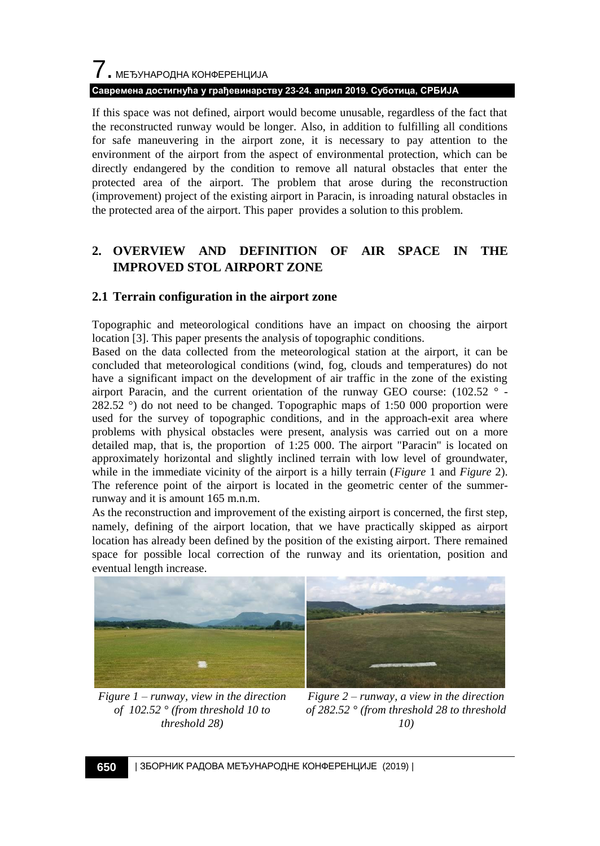# 7. МЕЂУНАРОДНА КОНФЕРЕНЦИЈА **Савремена достигнућа у грађевинарству 23-24. април 2019. Суботица, СРБИЈА**

If this space was not defined, airport would become unusable, regardless of the fact that the reconstructed runway would be longer. Also, in addition to fulfilling all conditions for safe maneuvering in the airport zone, it is necessary to pay attention to the environment of the airport from the aspect of environmental protection, which can be directly endangered by the condition to remove all natural obstacles that enter the protected area of the airport. The problem that arose during the reconstruction (improvement) project of the existing airport in Paracin, is inroading natural obstacles in the protected area of the airport. This paper provides a solution to this problem.

## **2. OVERVIEW AND DEFINITION OF AIR SPACE IN THE IMPROVED STOL AIRPORT ZONE**

## **2.1 Terrain configuration in the airport zone**

Topographic and meteorological conditions have an impact on choosing the airport location [3]. This paper presents the analysis of topographic conditions.

Based on the data collected from the meteorological station at the airport, it can be concluded that meteorological conditions (wind, fog, clouds and temperatures) do not have a significant impact on the development of air traffic in the zone of the existing airport Paracin, and the current orientation of the runway GEO course:  $(102.52 \degree$ 282.52 °) do not need to be changed. Topographic maps of 1:50 000 proportion were used for the survey of topographic conditions, and in the approach-exit area where problems with physical obstacles were present, analysis was carried out on a more detailed map, that is, the proportion of 1:25 000. The airport "Paracin" is located on approximately horizontal and slightly inclined terrain with low level of groundwater, while in the immediate vicinity of the airport is a hilly terrain (*Figure* 1 and *Figure* 2). The reference point of the airport is located in the geometric center of the summerrunway and it is amount 165 m.n.m.

As the reconstruction and improvement of the existing airport is concerned, the first step, namely, defining of the airport location, that we have practically skipped as airport location has already been defined by the position of the existing airport. There remained space for possible local correction of the runway and its orientation, position and eventual length increase.



*Figure 1 – runway, view in the direction of 102.52 ° (from threshold 10 to threshold 28)*



*Figure 2 – runway, a view in the direction of 282.52 ° (from threshold 28 to threshold 10)*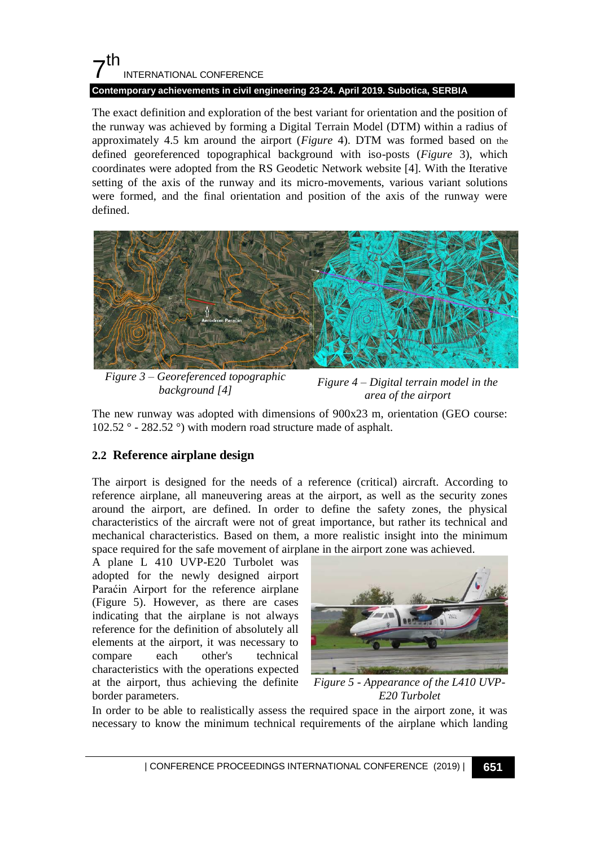# $7<sup>th</sup>$ INTERNATIONAL CONFERENCE

## **Contemporary achievements in civil engineering 23-24. April 2019. Subotica, SERBIA**

The exact definition and exploration of the best variant for orientation and the position of the runway was achieved by forming a Digital Terrain Model (DTM) within a radius of approximately 4.5 km around the airport (*Figure* 4). DTM was formed based on the defined georeferenced topographical background with iso-posts (*Figure* 3), which coordinates were adopted from the RS Geodetic Network website [4]. With the Iterative setting of the axis of the runway and its micro-movements, various variant solutions were formed, and the final orientation and position of the axis of the runway were defined.



*Figure 3 – Georeferenced topographic background [4]*

*Figure 4 – Digital terrain model in the area of the airport*

The new runway was adopted with dimensions of 900x23 m, orientation (GEO course: 102.52 ° - 282.52 °) with modern road structure made of asphalt.

## **2.2 Reference airplane design**

The airport is designed for the needs of a reference (critical) aircraft. According to reference airplane, all maneuvering areas at the airport, as well as the security zones around the airport, are defined. In order to define the safety zones, the physical characteristics of the aircraft were not of great importance, but rather its technical and mechanical characteristics. Based on them, a more realistic insight into the minimum space required for the safe movement of airplane in the airport zone was achieved.

A plane L 410 UVP-E20 Turbolet was adopted for the newly designed airport Paraćin Airport for the reference airplane (Figure 5). However, as there are cases indicating that the airplane is not always reference for the definition of absolutely all elements at the airport, it was necessary to compare each other's technical characteristics with the operations expected at the airport, thus achieving the definite border parameters.



*Figure 5 - Appearance of the L410 UVP-E20 Turbolet*

In order to be able to realistically assess the required space in the airport zone, it was necessary to know the minimum technical requirements of the airplane which landing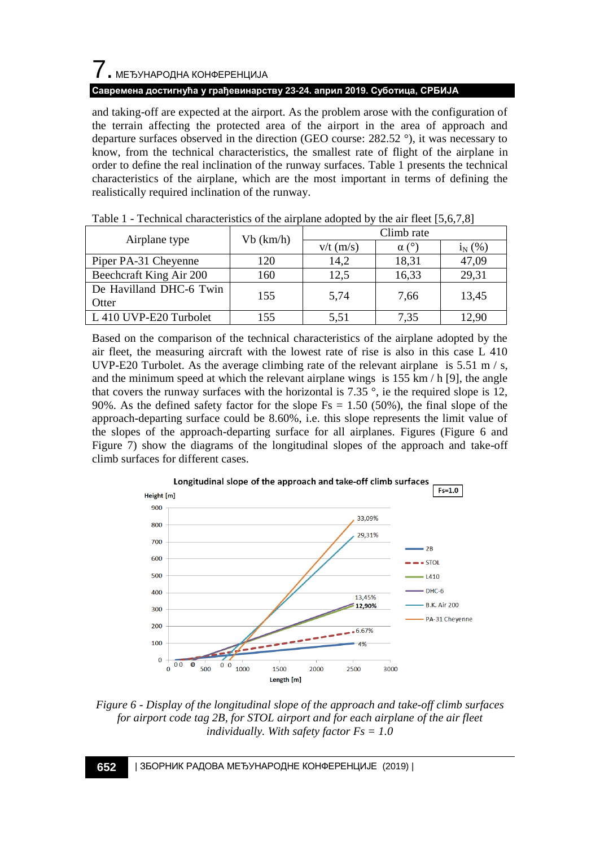# 7. МЕЂУНАРОДНА КОНФЕРЕНЦИЈА

## **Савремена достигнућа у грађевинарству 23-24. април 2019. Суботица, СРБИЈА**

and taking-off are expected at the airport. As the problem arose with the configuration of the terrain affecting the protected area of the airport in the area of approach and departure surfaces observed in the direction (GEO course: 282.52 °), it was necessary to know, from the technical characteristics, the smallest rate of flight of the airplane in order to define the real inclination of the runway surfaces. Table 1 presents the technical characteristics of the airplane, which are the most important in terms of defining the realistically required inclination of the runway.

|                         | Vb (km/h) | Climb rate  |       |             |
|-------------------------|-----------|-------------|-------|-------------|
| Airplane type           |           | $v/t$ (m/s) | α     | $i_{N}$ (%) |
| Piper PA-31 Cheyenne    | 120       | 14.2        | 18,31 | 47,09       |
| Beechcraft King Air 200 | 160       | 12.5        | 16,33 | 29,31       |
| De Havilland DHC-6 Twin | 155       |             |       |             |
| Otter                   |           | 5,74        | 7,66  | 13,45       |
| L 410 UVP-E20 Turbolet  | 155       | 5.51        | 7.35  | 12.90       |

Table 1 - Technical characteristics of the airplane adopted by the air fleet [5,6,7,8]

Based on the comparison of the technical characteristics of the airplane adopted by the air fleet, the measuring aircraft with the lowest rate of rise is also in this case L 410 UVP-E20 Turbolet. As the average climbing rate of the relevant airplane is  $5.51 \text{ m/s}$ , and the minimum speed at which the relevant airplane wings is  $155 \text{ km/h}$  [9], the angle that covers the runway surfaces with the horizontal is 7.35  $\degree$ , ie the required slope is 12, 90%. As the defined safety factor for the slope  $Fs = 1.50$  (50%), the final slope of the approach-departing surface could be 8.60%, i.e. this slope represents the limit value of the slopes of the approach-departing surface for all airplanes. Figures (Figure 6 and Figure 7) show the diagrams of the longitudinal slopes of the approach and take-off climb surfaces for different cases.



*Figure 6 - Display of the longitudinal slope of the approach and take-off climb surfaces for airport code tag 2B, for STOL airport and for each airplane of the air fleet individually. With safety factor Fs = 1.0*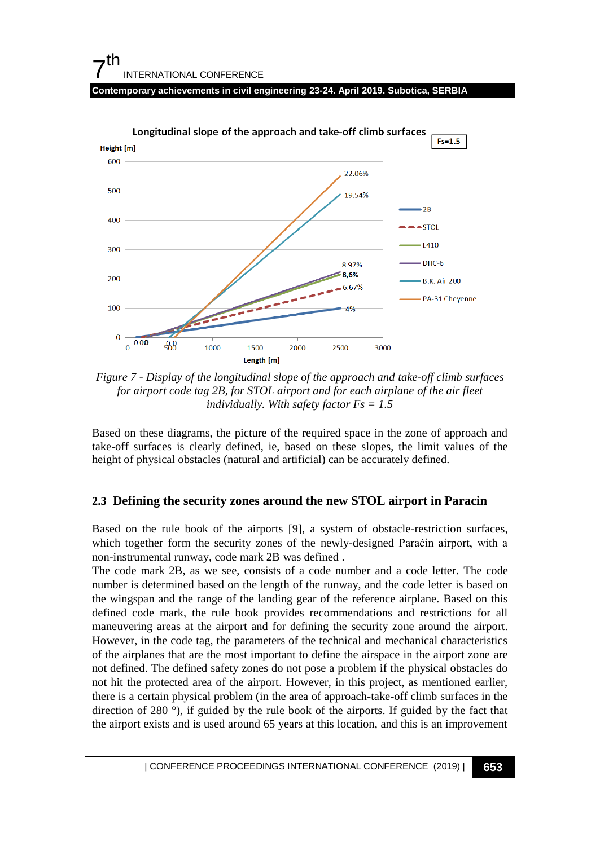#### 7 th INTERNATIONAL CONFERENCE **Contemporary achievements in civil engineering 23-24. April 2019. Subotica, SERBIA**



*Figure 7 - Display of the longitudinal slope of the approach and take-off climb surfaces for airport code tag 2B, for STOL airport and for each airplane of the air fleet individually. With safety factor Fs = 1.5*

Based on these diagrams, the picture of the required space in the zone of approach and take-off surfaces is clearly defined, ie, based on these slopes, the limit values of the height of physical obstacles (natural and artificial) can be accurately defined.

## **2.3 Defining the security zones around the new STOL airport in Paracin**

Based on the rule book of the airports [9], a system of obstacle-restriction surfaces, which together form the security zones of the newly-designed Paraćin airport, with a non-instrumental runway, code mark 2B was defined .

The code mark 2B, as we see, consists of a code number and a code letter. The code number is determined based on the length of the runway, and the code letter is based on the wingspan and the range of the landing gear of the reference airplane. Based on this defined code mark, the rule book provides recommendations and restrictions for all maneuvering areas at the airport and for defining the security zone around the airport. However, in the code tag, the parameters of the technical and mechanical characteristics of the airplanes that are the most important to define the airspace in the airport zone are not defined. The defined safety zones do not pose a problem if the physical obstacles do not hit the protected area of the airport. However, in this project, as mentioned earlier, there is a certain physical problem (in the area of approach-take-off climb surfaces in the direction of 280 °), if guided by the rule book of the airports. If guided by the fact that the airport exists and is used around 65 years at this location, and this is an improvement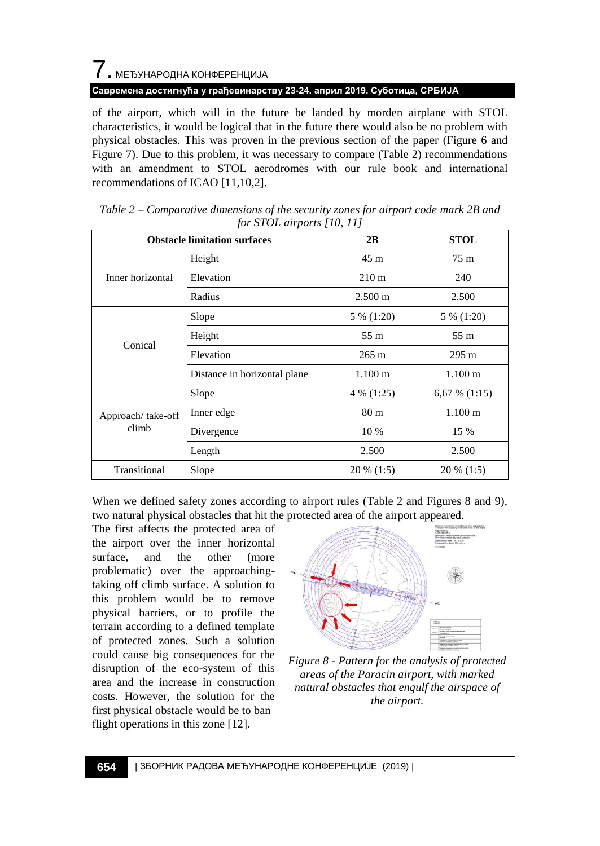# 7. МЕЂУНАРОДНА КОНФЕРЕНЦИЈА

**Савремена достигнућа у грађевинарству 23-24. април 2019. Суботица, СРБИЈА**

of the airport, which will in the future be landed by morden airplane with STOL characteristics, it would be logical that in the future there would also be no problem with physical obstacles. This was proven in the previous section of the paper (Figure 6 and Figure 7). Due to this problem, it was necessary to compare (Table 2) recommendations with an amendment to STOL aerodromes with our rule book and international recommendations of ICAO [11,10,2].

| <b>Obstacle limitation surfaces</b> |                              | 2B                | <b>STOL</b>       |
|-------------------------------------|------------------------------|-------------------|-------------------|
| Inner horizontal                    | Height                       | 45 <sub>m</sub>   | 75m               |
|                                     | Elevation                    | $210 \text{ m}$   | 240               |
|                                     | Radius                       | $2.500 \text{ m}$ | 2.500             |
| Conical                             | Slope                        | 5 % (1:20)        | 5 % (1:20)        |
|                                     | Height                       | 55 m              | 55 m              |
|                                     | Elevation                    | $265 \text{ m}$   | $295 \text{ m}$   |
|                                     | Distance in horizontal plane | $1.100 \text{ m}$ | $1.100 \text{ m}$ |
| Approach/take-off<br>climb          | Slope                        | 4 % (1:25)        | 6,67 % $(1:15)$   |
|                                     | Inner edge                   | 80 <sub>m</sub>   | $1.100 \text{ m}$ |
|                                     | Divergence                   | 10 %              | 15 %              |
|                                     | Length                       | 2.500             | 2.500             |
| Transitional                        | Slope                        | 20 % (1:5)        | $20\%$ (1:5)      |

*Table 2 – Comparative dimensions of the security zones for airport code mark 2B and for STOL airports [10, 11]*

When we defined safety zones according to airport rules (Table 2 and Figures 8 and 9), two natural physical obstacles that hit the protected area of the airport appeared.

The first affects the protected area of the airport over the inner horizontal surface, and the other (more problematic) over the approachingtaking off climb surface. A solution to this problem would be to remove physical barriers, or to profile the terrain according to a defined template of protected zones. Such a solution could cause big consequences for the disruption of the eco-system of this area and the increase in construction costs. However, the solution for the first physical obstacle would be to ban flight operations in this zone [12].



*Figure 8 - Pattern for the analysis of protected areas of the Paracin airport, with marked natural obstacles that engulf the airspace of the airport.*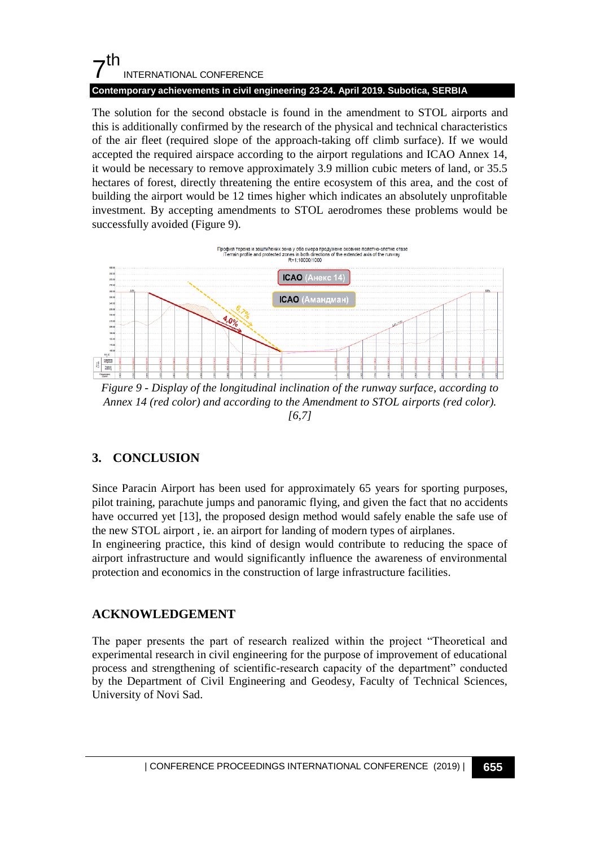## $7<sup>th</sup>$ INTERNATIONAL CONFERENCE **Contemporary achievements in civil engineering 23-24. April 2019. Subotica, SERBIA**

The solution for the second obstacle is found in the amendment to STOL airports and this is additionally confirmed by the research of the physical and technical characteristics of the air fleet (required slope of the approach-taking off climb surface). If we would accepted the required airspace according to the airport regulations and ICAO Annex 14, it would be necessary to remove approximately 3.9 million cubic meters of land, or 35.5 hectares of forest, directly threatening the entire ecosystem of this area, and the cost of building the airport would be 12 times higher which indicates an absolutely unprofitable investment. By accepting amendments to STOL aerodromes these problems would be successfully avoided (Figure 9).



*Figure 9 - Display of the longitudinal inclination of the runway surface, according to Annex 14 (red color) and according to the Amendment to STOL airports (red color). [6,7]*

## **3. CONCLUSION**

Since Paracin Airport has been used for approximately 65 years for sporting purposes, pilot training, parachute jumps and panoramic flying, and given the fact that no accidents have occurred yet [13], the proposed design method would safely enable the safe use of the new STOL airport , ie. an airport for landing of modern types of airplanes.

In engineering practice, this kind of design would contribute to reducing the space of airport infrastructure and would significantly influence the awareness of environmental protection and economics in the construction of large infrastructure facilities.

## **ACKNOWLEDGEMENT**

The paper presents the part of research realized within the project "Theoretical and experimental research in civil engineering for the purpose of improvement of educational process and strengthening of scientific-research capacity of the department" conducted by the Department of Civil Engineering and Geodesy, Faculty of Technical Sciences, University of Novi Sad.